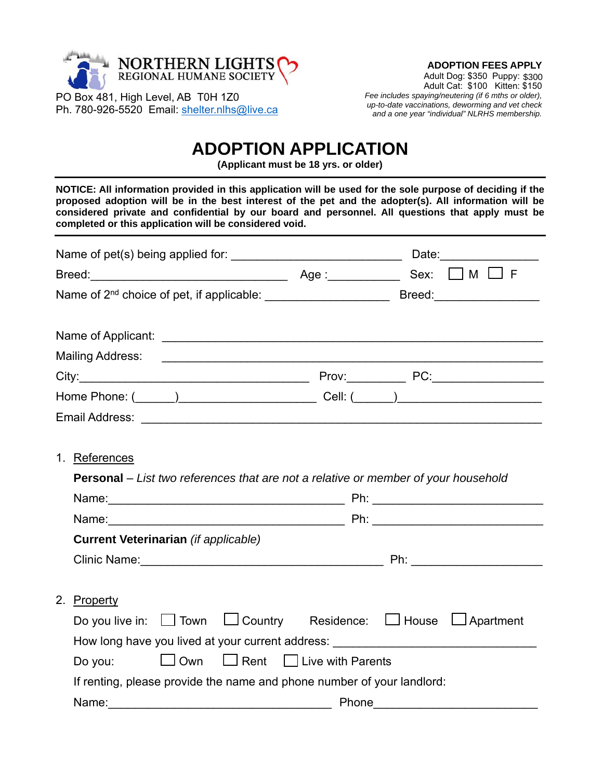

PO Box 481, High Level, AB T0H 1Z0 Ph. 780-926-5520 Email: shelter.nlhs@live.ca

## **ADOPTION FEES APPLY**

Adult Dog: \$350 Puppy: \$300 Adult Cat: \$100 Kitten: \$150 *Fee includes spaying/neutering (if 6 mths or older), up-to-date vaccinations, deworming and vet check and a one year "individual" NLRHS membership.* 

## **ADOPTION APPLICATION**

**(Applicant must be 18 yrs. or older)** 

**NOTICE: All information provided in this application will be used for the sole purpose of deciding if the proposed adoption will be in the best interest of the pet and the adopter(s). All information will be considered private and confidential by our board and personnel. All questions that apply must be completed or this application will be considered void.** 

| 1. References                                                          |                                                                                                                |
|------------------------------------------------------------------------|----------------------------------------------------------------------------------------------------------------|
|                                                                        | <b>Personal</b> – List two references that are not a relative or member of your household                      |
|                                                                        |                                                                                                                |
|                                                                        | Name: Name: 2008 2012 2022 2023 2024 2022 2023 2024 2022 2023 2024 2022 2023 2024 2022 2023 2024 2022 2023 202 |
| <b>Current Veterinarian (if applicable)</b>                            |                                                                                                                |
|                                                                        |                                                                                                                |
|                                                                        |                                                                                                                |
| 2. Property                                                            |                                                                                                                |
|                                                                        | Do you live in: $\Box$ Town $\Box$ Country Residence: $\Box$ House $\Box$ Apartment                            |
|                                                                        | How long have you lived at your current address: _______________________________                               |
| $\Box$ Own $\Box$ Rent $\Box$ Live with Parents<br>Do you:             |                                                                                                                |
| If renting, please provide the name and phone number of your landlord: |                                                                                                                |
| Name:                                                                  | Phone                                                                                                          |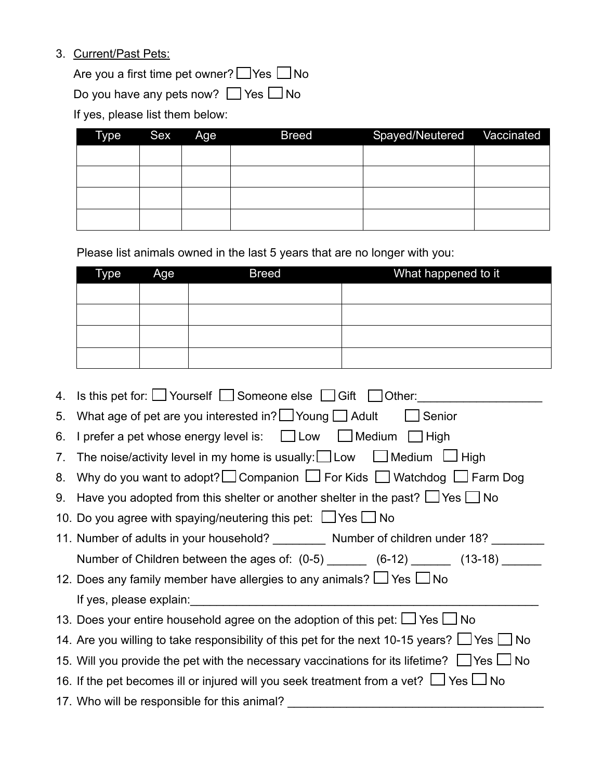## 3. Current/Past Pets:

Are you a first time pet owner?  $\Box$  Yes  $\Box$  No

Do you have any pets now?  $\Box$  Yes  $\Box$  No

If yes, please list them below:

| Type | Sex Age | <b>Breed</b> | Spayed/Neutered Vaccinated |  |
|------|---------|--------------|----------------------------|--|
|      |         |              |                            |  |
|      |         |              |                            |  |
|      |         |              |                            |  |
|      |         |              |                            |  |

Please list animals owned in the last 5 years that are no longer with you:

| <b>Type</b> | Age | <b>Breed</b> | What happened to it |
|-------------|-----|--------------|---------------------|
|             |     |              |                     |
|             |     |              |                     |
|             |     |              |                     |
|             |     |              |                     |

|    | 4. Is this pet for: $\Box$ Yourself $\Box$ Someone else $\Box$ Gift $\Box$ Other:                     |  |  |  |  |
|----|-------------------------------------------------------------------------------------------------------|--|--|--|--|
| 5. | What age of pet are you interested in? $\Box$ Young $\Box$ Adult $\Box$ Senior                        |  |  |  |  |
| 6. | I prefer a pet whose energy level is: $\Box$ Low $\Box$ Medium $\Box$ High                            |  |  |  |  |
| 7. | The noise/activity level in my home is usually: $\Box$ Low $\Box$ Medium $\Box$ High                  |  |  |  |  |
|    | 8. Why do you want to adopt? Companion $\Box$ For Kids $\Box$ Watchdog $\Box$ Farm Dog                |  |  |  |  |
|    | 9. Have you adopted from this shelter or another shelter in the past? $\Box$ Yes $\Box$ No            |  |  |  |  |
|    | 10. Do you agree with spaying/neutering this pet: $\Box$ Yes $\Box$ No                                |  |  |  |  |
|    | 11. Number of adults in your household? __________ Number of children under 18? ______                |  |  |  |  |
|    |                                                                                                       |  |  |  |  |
|    | Number of Children between the ages of: (0-5) _______ (6-12) ______ (13-18) _____                     |  |  |  |  |
|    | 12. Does any family member have allergies to any animals? $\Box$ Yes $\Box$ No                        |  |  |  |  |
|    |                                                                                                       |  |  |  |  |
|    | 13. Does your entire household agree on the adoption of this pet: $\Box$ Yes $\Box$ No                |  |  |  |  |
|    | 14. Are you willing to take responsibility of this pet for the next 10-15 years? $\Box$ Yes $\Box$ No |  |  |  |  |
|    | 15. Will you provide the pet with the necessary vaccinations for its lifetime? $\Box$ Yes $\Box$ No   |  |  |  |  |
|    | 16. If the pet becomes ill or injured will you seek treatment from a vet? $\Box$ Yes $\Box$ No        |  |  |  |  |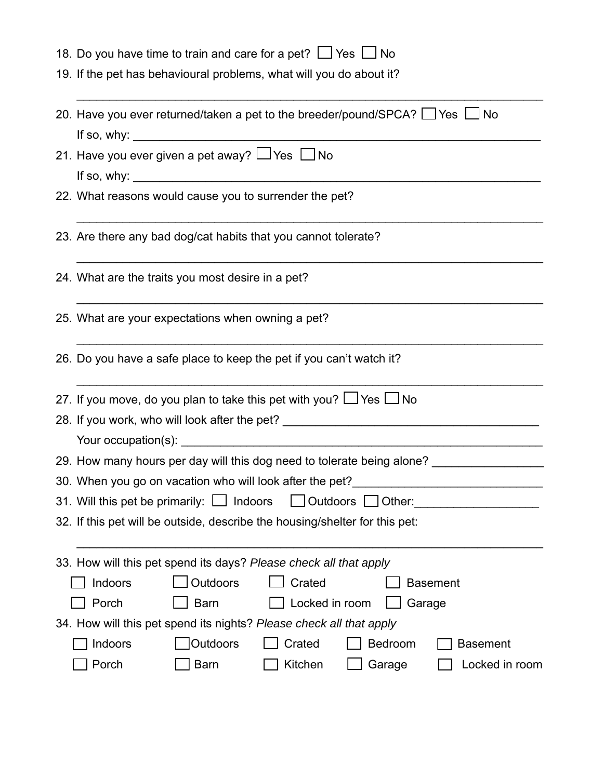|  |  |  |  |  |  |  | 18. Do you have time to train and care for a pet? $\Box$ Yes $\Box$ No |  |
|--|--|--|--|--|--|--|------------------------------------------------------------------------|--|
|--|--|--|--|--|--|--|------------------------------------------------------------------------|--|

19. If the pet has behavioural problems, what will you do about it?

| 20. Have you ever returned/taken a pet to the breeder/pound/SPCA? $\Box$ Yes $\Box$ No                                                                                                                                                 |  |  |  |  |  |
|----------------------------------------------------------------------------------------------------------------------------------------------------------------------------------------------------------------------------------------|--|--|--|--|--|
| 21. Have you ever given a pet away? $\Box$ Yes $\Box$ No                                                                                                                                                                               |  |  |  |  |  |
|                                                                                                                                                                                                                                        |  |  |  |  |  |
| 22. What reasons would cause you to surrender the pet?                                                                                                                                                                                 |  |  |  |  |  |
| 23. Are there any bad dog/cat habits that you cannot tolerate?                                                                                                                                                                         |  |  |  |  |  |
| 24. What are the traits you most desire in a pet?                                                                                                                                                                                      |  |  |  |  |  |
| 25. What are your expectations when owning a pet?                                                                                                                                                                                      |  |  |  |  |  |
| 26. Do you have a safe place to keep the pet if you can't watch it?                                                                                                                                                                    |  |  |  |  |  |
| 27. If you move, do you plan to take this pet with you? $\Box$ Yes $\Box$ No                                                                                                                                                           |  |  |  |  |  |
| 28. If you work, who will look after the pet? ___________________________________                                                                                                                                                      |  |  |  |  |  |
|                                                                                                                                                                                                                                        |  |  |  |  |  |
| 29. How many hours per day will this dog need to tolerate being alone?                                                                                                                                                                 |  |  |  |  |  |
| 30. When you go on vacation who will look after the pet?<br>Subseteration who will look after the pet?<br>Subseteration who will look after the pet?<br>Subseteration who will look after the pet?<br>Subseteration who will look afte |  |  |  |  |  |
| 31. Will this pet be primarily: $\Box$ Indoors $\Box$ Outdoors $\Box$ Other:                                                                                                                                                           |  |  |  |  |  |
| 32. If this pet will be outside, describe the housing/shelter for this pet:                                                                                                                                                            |  |  |  |  |  |
|                                                                                                                                                                                                                                        |  |  |  |  |  |
| 33. How will this pet spend its days? Please check all that apply                                                                                                                                                                      |  |  |  |  |  |
| Outdoors<br>Crated<br>Indoors<br><b>Basement</b>                                                                                                                                                                                       |  |  |  |  |  |
| Porch<br>Locked in room<br><b>Barn</b><br>Garage                                                                                                                                                                                       |  |  |  |  |  |
| 34. How will this pet spend its nights? Please check all that apply                                                                                                                                                                    |  |  |  |  |  |
| Outdoors<br>Crated<br>Bedroom<br>Indoors<br><b>Basement</b>                                                                                                                                                                            |  |  |  |  |  |
| Locked in room<br>Porch<br><b>Barn</b><br>Kitchen<br>Garage                                                                                                                                                                            |  |  |  |  |  |

\_\_\_\_\_\_\_\_\_\_\_\_\_\_\_\_\_\_\_\_\_\_\_\_\_\_\_\_\_\_\_\_\_\_\_\_\_\_\_\_\_\_\_\_\_\_\_\_\_\_\_\_\_\_\_\_\_\_\_\_\_\_\_\_\_\_\_\_\_\_\_